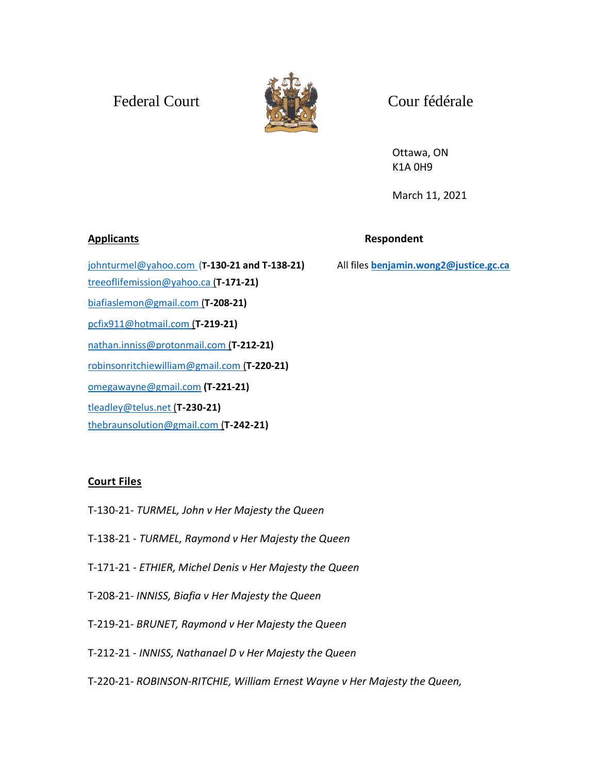## Federal Court Court Court Court



Ottawa, ON K1A 0H9

March 11, 2021

**Applicants Respondent**

[johnturmel@yahoo.com](mailto:johnturmel@yahoo.com) (**T-130-21 and T-138-21)** All files **[benjamin.wong2@justice.gc.ca](mailto:benjamin.wong2@justice.gc.ca)** [treeoflifemission@yahoo.ca](mailto:treeoflifemission@yahoo.ca) (**T-171-21)** [biafiaslemon@gmail.com](mailto:biafiaslemon@gmail.com) (**T-208-21)** [pcfix911@hotmail.com](mailto:pcfix911@hotmail.com) (**T-219-21)** [nathan.inniss@protonmail.com](mailto:nathan.inniss@protonmail.com) (**T-212-21)** [robinsonritchiewilliam@gmail.com](mailto:robinsonritchiewilliam@gmail.com) (**T-220-21)** [omegawayne@gmail.com](mailto:omegawayne@gmail.com) **(T-221-21)** [tleadley@telus.net](mailto:tleadley@telus.net) (**T-230-21)** [thebraunsolution@gmail.com](mailto:thebraunsolution@gmail.com) (**T-242-21)**

## **Court Files**

- T-130-21- *TURMEL, John v Her Majesty the Queen*
- T-138-21 *TURMEL, Raymond v Her Majesty the Queen*
- T-171-21 *- ETHIER, Michel Denis v Her Majesty the Queen*
- T-208-21*- INNISS, Biafia v Her Majesty the Queen*
- T-219-21*- BRUNET, Raymond v Her Majesty the Queen*
- T-212-21 *INNISS, Nathanael D v Her Majesty the Queen*
- T-220-21- *ROBINSON-RITCHIE, William Ernest Wayne v Her Majesty the Queen,*